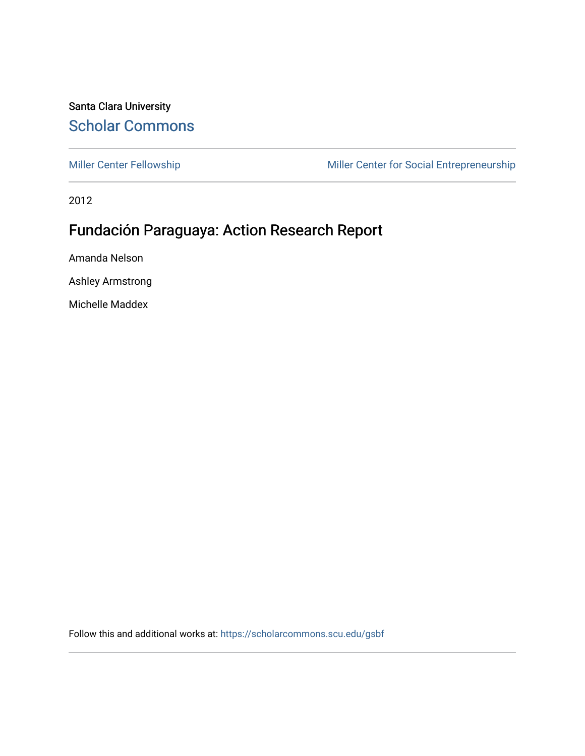## Santa Clara University [Scholar Commons](https://scholarcommons.scu.edu/)

[Miller Center Fellowship](https://scholarcommons.scu.edu/gsbf) Miller Center for Social Entrepreneurship

2012

# Fundación Paraguaya: Action Research Report

Amanda Nelson

Ashley Armstrong

Michelle Maddex

Follow this and additional works at: [https://scholarcommons.scu.edu/gsbf](https://scholarcommons.scu.edu/gsbf?utm_source=scholarcommons.scu.edu%2Fgsbf%2F14&utm_medium=PDF&utm_campaign=PDFCoverPages)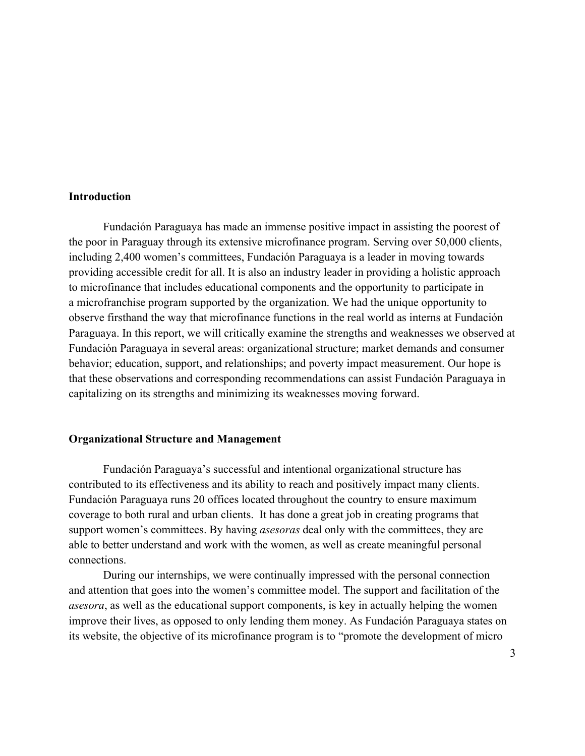### **Introduction**

Fundación Paraguaya has made an immense positive impact in assisting the poorest of the poor in Paraguay through its extensive microfinance program. Serving over 50,000 clients, including 2,400 women's committees, Fundación Paraguaya is a leader in moving towards providing accessible credit for all. It is also an industry leader in providing a holistic approach to microfinance that includes educational components and the opportunity to participate in a microfranchise program supported by the organization. We had the unique opportunity to observe firsthand the way that microfinance functions in the real world as interns at Fundación Paraguaya. In this report, we will critically examine the strengths and weaknesses we observed at Fundación Paraguaya in several areas: organizational structure; market demands and consumer behavior; education, support, and relationships; and poverty impact measurement. Our hope is that these observations and corresponding recommendations can assist Fundación Paraguaya in capitalizing on its strengths and minimizing its weaknesses moving forward.

### **Organizational Structure and Management**

Fundación Paraguaya's successful and intentional organizational structure has contributed to its effectiveness and its ability to reach and positively impact many clients. Fundación Paraguaya runs 20 offices located throughout the country to ensure maximum coverage to both rural and urban clients. It has done a great job in creating programs that support women's committees. By having *asesoras* deal only with the committees, they are able to better understand and work with the women, as well as create meaningful personal connections.

During our internships, we were continually impressed with the personal connection and attention that goes into the women's committee model. The support and facilitation of the *asesora*, as well as the educational support components, is key in actually helping the women improve their lives, as opposed to only lending them money. As Fundación Paraguaya states on its website, the objective of its microfinance program is to "promote the development of micro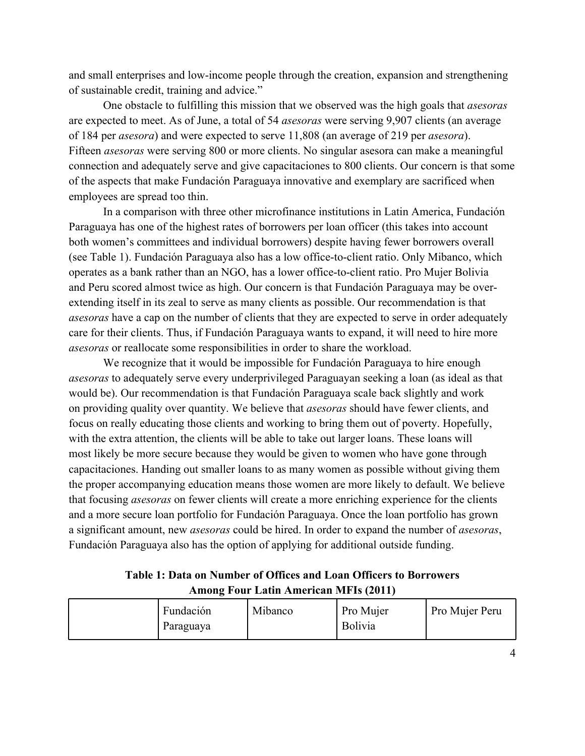and small enterprises and low-income people through the creation, expansion and strengthening of sustainable credit, training and advice."

One obstacle to fulfilling this mission that we observed was the high goals that *asesoras* are expected to meet. As of June, a total of 54 asesoras were serving 9,907 clients (an average of 184 per *asesora*) and were expected to serve 11,808 (an average of 219 per *asesora*). Fifteen *asesoras* were serving 800 or more clients. No singular asesora can make a meaningful connection and adequately serve and give capacitaciones to 800 clients. Our concern is that some of the aspects that make Fundación Paraguaya innovative and exemplary are sacrificed when employees are spread too thin.

In a comparison with three other microfinance institutions in Latin America, Fundación Paraguaya has one of the highest rates of borrowers per loan officer (this takes into account both women's committees and individual borrowers) despite having fewer borrowers overall (see Table 1). Fundación Paraguaya also has a low office-to-client ratio. Only Mibanco, which operates as a bank rather than an NGO, has a lower office-to-client ratio. Pro Mujer Bolivia and Peru scored almost twice as high. Our concern is that Fundación Paraguaya may be overextending itself in its zeal to serve as many clients as possible. Our recommendation is that *asesoras* have a cap on the number of clients that they are expected to serve in order adequately care for their clients. Thus, if Fundación Paraguaya wants to expand, it will need to hire more *asesoras* or reallocate some responsibilities in order to share the workload.

We recognize that it would be impossible for Fundación Paraguaya to hire enough *asesoras* to adequately serve every underprivileged Paraguayan seeking a loan (as ideal as that would be). Our recommendation is that Fundación Paraguaya scale back slightly and work on providing quality over quantity. We believe that asesoras should have fewer clients, and focus on really educating those clients and working to bring them out of poverty. Hopefully, with the extra attention, the clients will be able to take out larger loans. These loans will most likely be more secure because they would be given to women who have gone through capacitaciones. Handing out smaller loans to as many women as possible without giving them the proper accompanying education means those women are more likely to default. We believe that focusing *asesoras* on fewer clients will create a more enriching experience for the clients and a more secure loan portfolio for Fundación Paraguaya. Once the loan portfolio has grown a significant amount, new *asesoras* could be hired. In order to expand the number of *asesoras*, Fundación Paraguaya also has the option of applying for additional outside funding.

Table 1: Data on Number of Offices and Loan Officers to Borrowers **Among Four Latin American MFIs (2011)** 

| Fundación<br>Paraguaya | Mibanco | Pro Mujer<br>Bolivia | Pro Mujer Peru |
|------------------------|---------|----------------------|----------------|
|------------------------|---------|----------------------|----------------|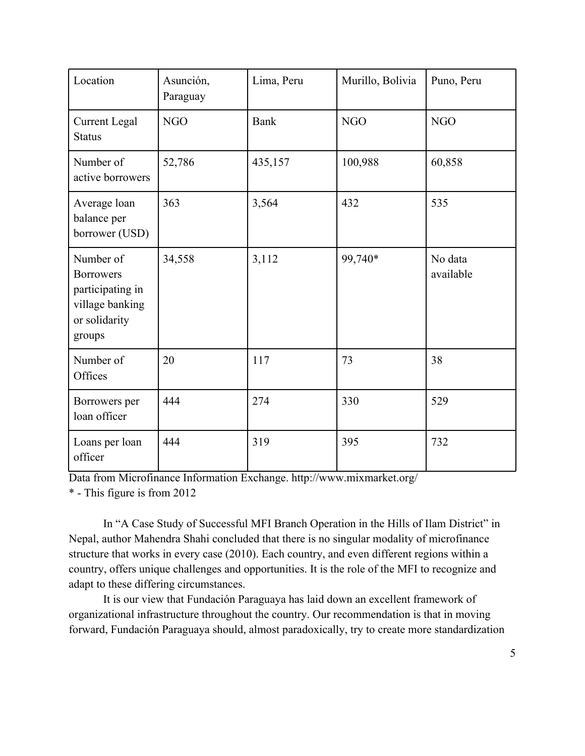| Location                                                                                        | Asunción,<br>Paraguay | Lima, Peru  | Murillo, Bolivia | Puno, Peru           |
|-------------------------------------------------------------------------------------------------|-----------------------|-------------|------------------|----------------------|
| <b>Current Legal</b><br><b>Status</b>                                                           | <b>NGO</b>            | <b>Bank</b> | <b>NGO</b>       | <b>NGO</b>           |
| Number of<br>active borrowers                                                                   | 52,786                | 435,157     | 100,988          | 60,858               |
| Average loan<br>balance per<br>borrower (USD)                                                   | 363                   | 3,564       | 432              | 535                  |
| Number of<br><b>Borrowers</b><br>participating in<br>village banking<br>or solidarity<br>groups | 34,558                | 3,112       | 99,740*          | No data<br>available |
| Number of<br>Offices                                                                            | 20                    | 117         | 73               | 38                   |
| Borrowers per<br>loan officer                                                                   | 444                   | 274         | 330              | 529                  |
| Loans per loan<br>officer                                                                       | 444                   | 319         | 395              | 732                  |

Data from Microfinance Information Exchange. http://www.mixmarket.org/

\* - This figure is from 2012

In "A Case Study of Successful MFI Branch Operation in the Hills of Ilam District" in Nepal, author Mahendra Shahi concluded that there is no singular modality of microfinance structure that works in every case (2010). Each country, and even different regions within a country, offers unique challenges and opportunities. It is the role of the MFI to recognize and adapt to these differing circumstances.

It is our view that Fundación Paraguaya has laid down an excellent framework of organizational infrastructure throughout the country. Our recommendation is that in moving forward, Fundación Paraguaya should, almost paradoxically, try to create more standardization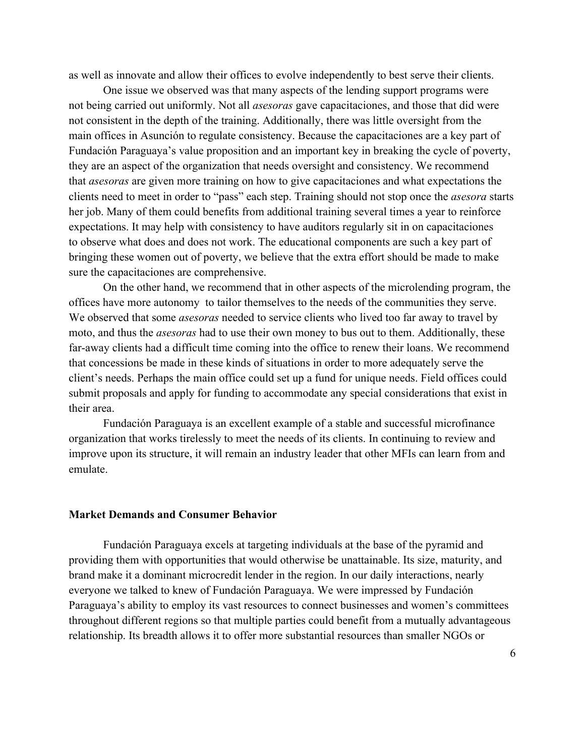as well as innovate and allow their offices to evolve independently to best serve their clients.

One issue we observed was that many aspects of the lending support programs were not being carried out uniformly. Not all *asesoras* gave capacitaciones, and those that did were not consistent in the depth of the training. Additionally, there was little oversight from the main offices in Asunción to regulate consistency. Because the capacitaciones are a key part of Fundación Paraguaya's value proposition and an important key in breaking the cycle of poverty, they are an aspect of the organization that needs oversight and consistency. We recommend that *asesoras* are given more training on how to give capacitaciones and what expectations the clients need to meet in order to "pass" each step. Training should not stop once the *asesora* starts her job. Many of them could benefits from additional training several times a year to reinforce expectations. It may help with consistency to have auditors regularly sit in on capacitaciones to observe what does and does not work. The educational components are such a key part of bringing these women out of poverty, we believe that the extra effort should be made to make sure the capacitaciones are comprehensive.

On the other hand, we recommend that in other aspects of the microlending program, the offices have more autonomy to tailor themselves to the needs of the communities they serve. We observed that some *asesoras* needed to service clients who lived too far away to travel by moto, and thus the *asesoras* had to use their own money to bus out to them. Additionally, these far-away clients had a difficult time coming into the office to renew their loans. We recommend that concessions be made in these kinds of situations in order to more adequately serve the client's needs. Perhaps the main office could set up a fund for unique needs. Field offices could submit proposals and apply for funding to accommodate any special considerations that exist in their area.

Fundación Paraguaya is an excellent example of a stable and successful microfinance organization that works tirelessly to meet the needs of its clients. In continuing to review and improve upon its structure, it will remain an industry leader that other MFIs can learn from and emulate.

## **Market Demands and Consumer Behavior**

Fundación Paraguaya excels at targeting individuals at the base of the pyramid and providing them with opportunities that would otherwise be unattainable. Its size, maturity, and brand make it a dominant microcredit lender in the region. In our daily interactions, nearly everyone we talked to knew of Fundación Paraguaya. We were impressed by Fundación Paraguaya's ability to employ its vast resources to connect businesses and women's committees throughout different regions so that multiple parties could benefit from a mutually advantageous relationship. Its breadth allows it to offer more substantial resources than smaller NGOs or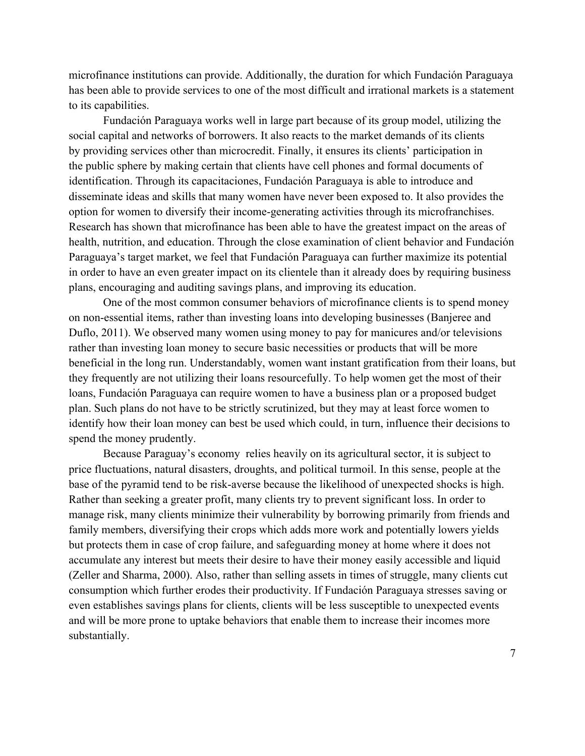microfinance institutions can provide. Additionally, the duration for which Fundación Paraguaya has been able to provide services to one of the most difficult and irrational markets is a statement to its capabilities.

Fundación Paraguaya works well in large part because of its group model, utilizing the social capital and networks of borrowers. It also reacts to the market demands of its clients by providing services other than microcredit. Finally, it ensures its clients' participation in the public sphere by making certain that clients have cell phones and formal documents of identification. Through its capacitaciones, Fundación Paraguaya is able to introduce and disseminate ideas and skills that many women have never been exposed to. It also provides the option for women to diversify their income-generating activities through its microfranchises. Research has shown that microfinance has been able to have the greatest impact on the areas of health, nutrition, and education. Through the close examination of client behavior and Fundación Paraguaya's target market, we feel that Fundación Paraguaya can further maximize its potential in order to have an even greater impact on its clientele than it already does by requiring business plans, encouraging and auditing savings plans, and improving its education.

One of the most common consumer behaviors of microfinance clients is to spend money on non-essential items, rather than investing loans into developing businesses (Banjeree and Duflo, 2011). We observed many women using money to pay for manicures and/or televisions rather than investing loan money to secure basic necessities or products that will be more beneficial in the long run. Understandably, women want instant gratification from their loans, but they frequently are not utilizing their loans resourcefully. To help women get the most of their loans, Fundación Paraguaya can require women to have a business plan or a proposed budget plan. Such plans do not have to be strictly scrutinized, but they may at least force women to identify how their loan money can best be used which could, in turn, influence their decisions to spend the money prudently.

Because Paraguay's economy relies heavily on its agricultural sector, it is subject to price fluctuations, natural disasters, droughts, and political turmoil. In this sense, people at the base of the pyramid tend to be risk-averse because the likelihood of unexpected shocks is high. Rather than seeking a greater profit, many clients try to prevent significant loss. In order to manage risk, many clients minimize their vulnerability by borrowing primarily from friends and family members, diversifying their crops which adds more work and potentially lowers yields but protects them in case of crop failure, and safeguarding money at home where it does not accumulate any interest but meets their desire to have their money easily accessible and liquid (Zeller and Sharma, 2000). Also, rather than selling assets in times of struggle, many clients cut consumption which further erodes their productivity. If Fundación Paraguaya stresses saving or even establishes savings plans for clients, clients will be less susceptible to unexpected events and will be more prone to uptake behaviors that enable them to increase their incomes more substantially.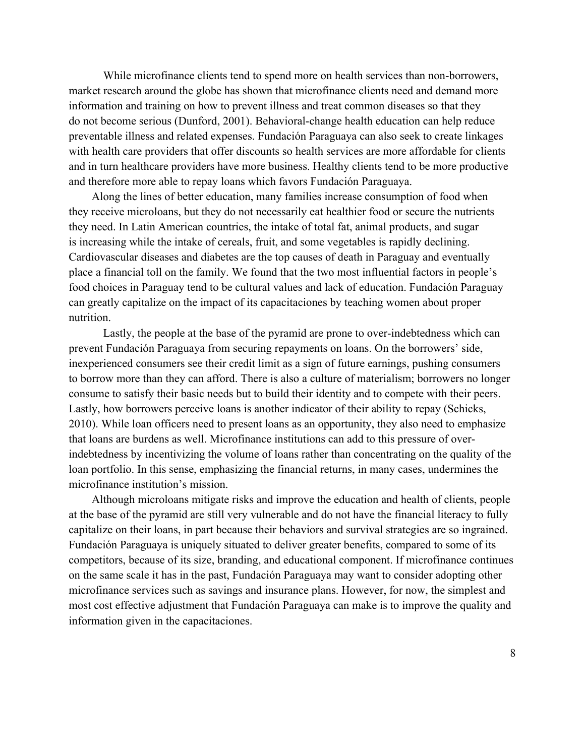While microfinance clients tend to spend more on health services than non-borrowers, market research around the globe has shown that microfinance clients need and demand more information and training on how to prevent illness and treat common diseases so that they do not become serious (Dunford, 2001). Behavioral-change health education can help reduce preventable illness and related expenses. Fundación Paraguaya can also seek to create linkages with health care providers that offer discounts so health services are more affordable for clients and in turn healthcare providers have more business. Healthy clients tend to be more productive and therefore more able to repay loans which favors Fundación Paraguaya.

Along the lines of better education, many families increase consumption of food when they receive microloans, but they do not necessarily eat healthier food or secure the nutrients they need. In Latin American countries, the intake of total fat, animal products, and sugar is increasing while the intake of cereals, fruit, and some vegetables is rapidly declining. Cardiovascular diseases and diabetes are the top causes of death in Paraguay and eventually place a financial toll on the family. We found that the two most influential factors in people's food choices in Paraguay tend to be cultural values and lack of education. Fundación Paraguay can greatly capitalize on the impact of its capacitaciones by teaching women about proper nutrition

Lastly, the people at the base of the pyramid are prone to over-indebtedness which can prevent Fundación Paraguaya from securing repayments on loans. On the borrowers' side, inexperienced consumers see their credit limit as a sign of future earnings, pushing consumers to borrow more than they can afford. There is also a culture of materialism; borrowers no longer consume to satisfy their basic needs but to build their identity and to compete with their peers. Lastly, how borrowers perceive loans is another indicator of their ability to repay (Schicks, 2010). While loan officers need to present loans as an opportunity, they also need to emphasize that loans are burdens as well. Microfinance institutions can add to this pressure of overindebtedness by incentivizing the volume of loans rather than concentrating on the quality of the loan portfolio. In this sense, emphasizing the financial returns, in many cases, undermines the microfinance institution's mission

Although microloans mitigate risks and improve the education and health of clients, people at the base of the pyramid are still very vulnerable and do not have the financial literacy to fully capitalize on their loans, in part because their behaviors and survival strategies are so ingrained. Fundación Paraguaya is uniquely situated to deliver greater benefits, compared to some of its competitors, because of its size, branding, and educational component. If microfinance continues on the same scale it has in the past, Fundación Paraguaya may want to consider adopting other microfinance services such as savings and insurance plans. However, for now, the simplest and most cost effective adjustment that Fundación Paraguaya can make is to improve the quality and information given in the capacitaciones.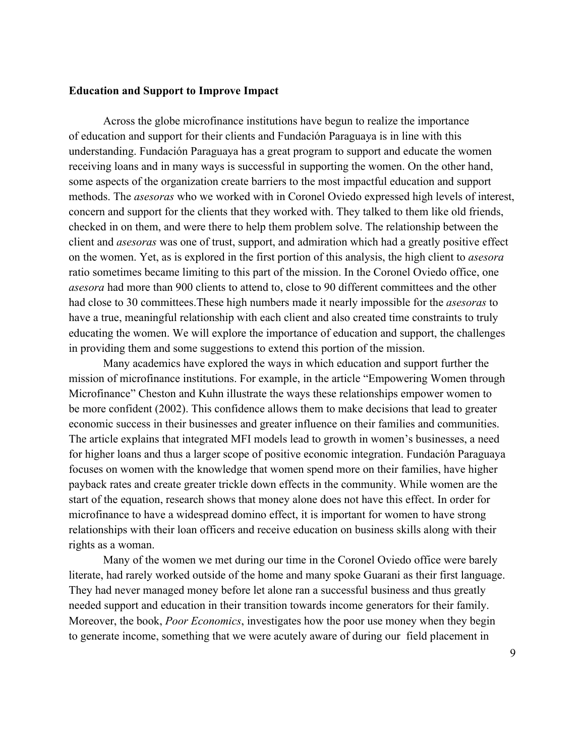### **Education and Support to Improve Impact**

Across the globe microfinance institutions have begun to realize the importance of education and support for their clients and Fundación Paraguaya is in line with this understanding. Fundación Paraguaya has a great program to support and educate the women receiving loans and in many ways is successful in supporting the women. On the other hand, some aspects of the organization create barriers to the most impactful education and support methods. The *asesoras* who we worked with in Coronel Oviedo expressed high levels of interest, concern and support for the clients that they worked with. They talked to them like old friends, checked in on them, and were there to help them problem solve. The relationship between the client and *asesoras* was one of trust, support, and admiration which had a greatly positive effect on the women. Yet, as is explored in the first portion of this analysis, the high client to *asesora* ratio sometimes became limiting to this part of the mission. In the Coronel Oviedo office, one asesora had more than 900 clients to attend to, close to 90 different committees and the other had close to 30 committees. These high numbers made it nearly impossible for the *asesoras* to have a true, meaningful relationship with each client and also created time constraints to truly educating the women. We will explore the importance of education and support, the challenges in providing them and some suggestions to extend this portion of the mission.

Many academics have explored the ways in which education and support further the mission of microfinance institutions. For example, in the article "Empowering Women through Microfinance" Cheston and Kuhn illustrate the ways these relationships empower women to be more confident (2002). This confidence allows them to make decisions that lead to greater economic success in their businesses and greater influence on their families and communities. The article explains that integrated MFI models lead to growth in women's businesses, a need for higher loans and thus a larger scope of positive economic integration. Fundación Paraguaya focuses on women with the knowledge that women spend more on their families, have higher payback rates and create greater trickle down effects in the community. While women are the start of the equation, research shows that money alone does not have this effect. In order for microfinance to have a widespread domino effect, it is important for women to have strong relationships with their loan officers and receive education on business skills along with their rights as a woman.

Many of the women we met during our time in the Coronel Oviedo office were barely literate, had rarely worked outside of the home and many spoke Guarani as their first language. They had never managed money before let alone ran a successful business and thus greatly needed support and education in their transition towards income generators for their family. Moreover, the book, *Poor Economics*, investigates how the poor use money when they begin to generate income, something that we were acutely aware of during our field placement in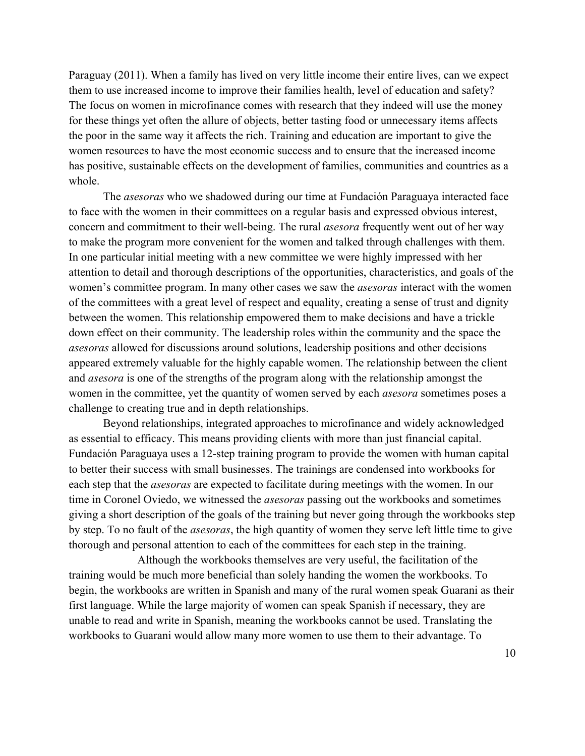Paraguay (2011). When a family has lived on very little income their entire lives, can we expect them to use increased income to improve their families health, level of education and safety? The focus on women in microfinance comes with research that they indeed will use the money for these things yet often the allure of objects, better tasting food or unnecessary items affects the poor in the same way it affects the rich. Training and education are important to give the women resources to have the most economic success and to ensure that the increased income has positive, sustainable effects on the development of families, communities and countries as a whole.

The *asesoras* who we shadowed during our time at Fundación Paraguaya interacted face to face with the women in their committees on a regular basis and expressed obvious interest, concern and commitment to their well-being. The rural *asesora* frequently went out of her way to make the program more convenient for the women and talked through challenges with them. In one particular initial meeting with a new committee we were highly impressed with her attention to detail and thorough descriptions of the opportunities, characteristics, and goals of the women's committee program. In many other cases we saw the *asesoras* interact with the women of the committees with a great level of respect and equality, creating a sense of trust and dignity between the women. This relationship empowered them to make decisions and have a trickle down effect on their community. The leadership roles within the community and the space the *asesoras* allowed for discussions around solutions, leadership positions and other decisions appeared extremely valuable for the highly capable women. The relationship between the client and *asesora* is one of the strengths of the program along with the relationship amongst the women in the committee, yet the quantity of women served by each *asesora* sometimes poses a challenge to creating true and in depth relationships.

Beyond relationships, integrated approaches to microfinance and widely acknowledged as essential to efficacy. This means providing clients with more than just financial capital. Fundación Paraguaya uses a 12-step training program to provide the women with human capital to better their success with small businesses. The trainings are condensed into workbooks for each step that the *asesoras* are expected to facilitate during meetings with the women. In our time in Coronel Oviedo, we witnessed the *asesoras* passing out the workbooks and sometimes giving a short description of the goals of the training but never going through the workbooks step by step. To no fault of the *asesoras*, the high quantity of women they serve left little time to give thorough and personal attention to each of the committees for each step in the training.

Although the workbooks themselves are very useful, the facilitation of the training would be much more beneficial than solely handing the women the workbooks. To begin, the workbooks are written in Spanish and many of the rural women speak Guarani as their first language. While the large majority of women can speak Spanish if necessary, they are unable to read and write in Spanish, meaning the workbooks cannot be used. Translating the workbooks to Guarani would allow many more women to use them to their advantage. To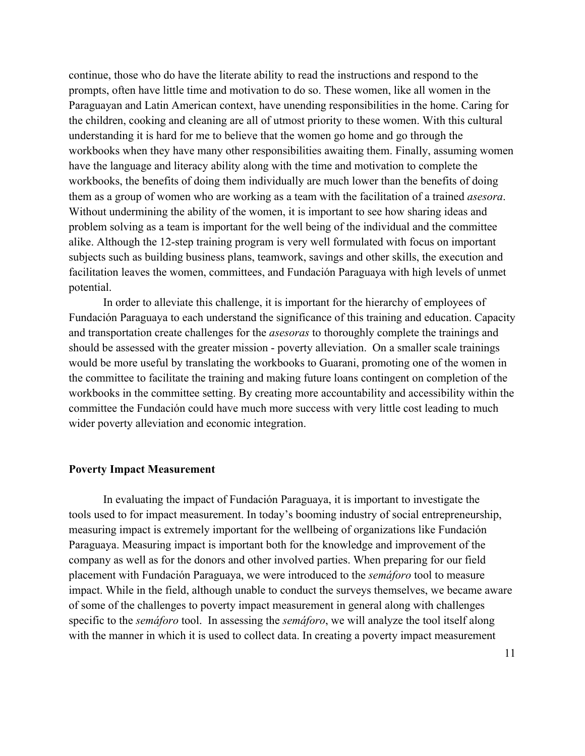continue, those who do have the literate ability to read the instructions and respond to the prompts, often have little time and motivation to do so. These women, like all women in the Paraguayan and Latin American context, have unending responsibilities in the home. Caring for the children, cooking and cleaning are all of utmost priority to these women. With this cultural understanding it is hard for me to believe that the women go home and go through the workbooks when they have many other responsibilities awaiting them. Finally, assuming women have the language and literacy ability along with the time and motivation to complete the workbooks, the benefits of doing them individually are much lower than the benefits of doing them as a group of women who are working as a team with the facilitation of a trained *asesora*. Without undermining the ability of the women, it is important to see how sharing ideas and problem solving as a team is important for the well being of the individual and the committee alike. Although the 12-step training program is very well formulated with focus on important subjects such as building business plans, teamwork, savings and other skills, the execution and facilitation leaves the women, committees, and Fundación Paraguaya with high levels of unmet potential.

In order to alleviate this challenge, it is important for the hierarchy of employees of Fundación Paraguaya to each understand the significance of this training and education. Capacity and transportation create challenges for the *asesoras* to thoroughly complete the trainings and should be assessed with the greater mission - poverty alleviation. On a smaller scale trainings would be more useful by translating the workbooks to Guarani, promoting one of the women in the committee to facilitate the training and making future loans contingent on completion of the workbooks in the committee setting. By creating more accountability and accessibility within the committee the Fundación could have much more success with very little cost leading to much wider poverty alleviation and economic integration.

#### **Poverty Impact Measurement**

In evaluating the impact of Fundación Paraguaya, it is important to investigate the tools used to for impact measurement. In today's booming industry of social entrepreneurship, measuring impact is extremely important for the wellbeing of organizations like Fundación Paraguaya. Measuring impact is important both for the knowledge and improvement of the company as well as for the donors and other involved parties. When preparing for our field placement with Fundación Paraguaya, we were introduced to the *semáforo* tool to measure impact. While in the field, although unable to conduct the surveys themselves, we became aware of some of the challenges to poverty impact measurement in general along with challenges specific to the *sematoro* tool. In assessing the *sematoro*, we will analyze the tool itself along with the manner in which it is used to collect data. In creating a poverty impact measurement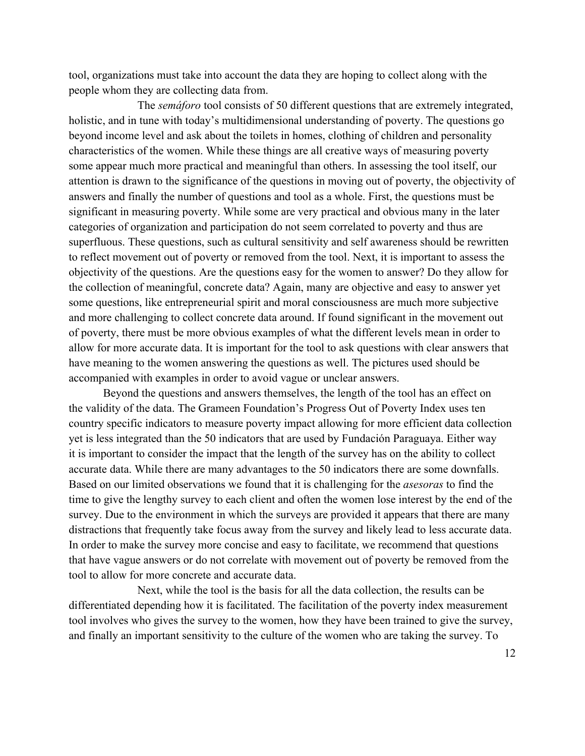tool, organizations must take into account the data they are hoping to collect along with the people whom they are collecting data from.

The *sematoro* tool consists of 50 different questions that are extremely integrated, holistic, and in tune with today's multidimensional understanding of poverty. The questions go beyond income level and ask about the toilets in homes, clothing of children and personality characteristics of the women. While these things are all creative ways of measuring poverty some appear much more practical and meaningful than others. In assessing the tool itself, our attention is drawn to the significance of the questions in moving out of poverty, the objectivity of answers and finally the number of questions and tool as a whole. First, the questions must be significant in measuring poverty. While some are very practical and obvious many in the later categories of organization and participation do not seem correlated to poverty and thus are superfluous. These questions, such as cultural sensitivity and self awareness should be rewritten to reflect movement out of poverty or removed from the tool. Next, it is important to assess the objectivity of the questions. Are the questions easy for the women to answer? Do they allow for the collection of meaningful, concrete data? Again, many are objective and easy to answer yet some questions, like entrepreneurial spirit and moral consciousness are much more subjective and more challenging to collect concrete data around. If found significant in the movement out of poverty, there must be more obvious examples of what the different levels mean in order to allow for more accurate data. It is important for the tool to ask questions with clear answers that have meaning to the women answering the questions as well. The pictures used should be accompanied with examples in order to avoid vague or unclear answers.

Beyond the questions and answers themselves, the length of the tool has an effect on the validity of the data. The Grameen Foundation's Progress Out of Poverty Index uses ten country specific indicators to measure poverty impact allowing for more efficient data collection yet is less integrated than the 50 indicators that are used by Fundación Paraguaya. Either way it is important to consider the impact that the length of the survey has on the ability to collect accurate data. While there are many advantages to the 50 indicators there are some downfalls. Based on our limited observations we found that it is challenging for the *asesoras* to find the time to give the lengthy survey to each client and often the women lose interest by the end of the survey. Due to the environment in which the surveys are provided it appears that there are many distractions that frequently take focus away from the survey and likely lead to less accurate data. In order to make the survey more concise and easy to facilitate, we recommend that questions that have vague answers or do not correlate with movement out of poverty be removed from the tool to allow for more concrete and accurate data.

Next, while the tool is the basis for all the data collection, the results can be differentiated depending how it is facilitated. The facilitation of the poverty index measurement tool involves who gives the survey to the women, how they have been trained to give the survey, and finally an important sensitivity to the culture of the women who are taking the survey. To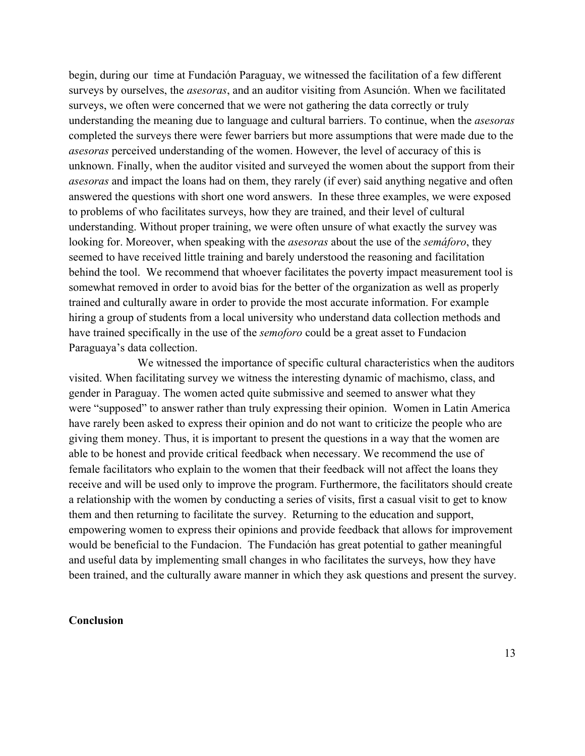begin, during our time at Fundación Paraguay, we witnessed the facilitation of a few different surveys by ourselves, the *asesoras*, and an auditor visiting from Asunción. When we facilitated surveys, we often were concerned that we were not gathering the data correctly or truly understanding the meaning due to language and cultural barriers. To continue, when the *asesoras* completed the surveys there were fewer barriers but more assumptions that were made due to the *asesoras* perceived understanding of the women. However, the level of accuracy of this is unknown. Finally, when the auditor visited and surveyed the women about the support from their asesoras and impact the loans had on them, they rarely (if ever) said anything negative and often answered the questions with short one word answers. In these three examples, we were exposed to problems of who facilitates surveys, how they are trained, and their level of cultural understanding. Without proper training, we were often unsure of what exactly the survey was looking for. Moreover, when speaking with the *asesoras* about the use of the *sematoro*, they seemed to have received little training and barely understood the reasoning and facilitation behind the tool. We recommend that whoever facilitates the poverty impact measurement tool is somewhat removed in order to avoid bias for the better of the organization as well as properly trained and culturally aware in order to provide the most accurate information. For example hiring a group of students from a local university who understand data collection methods and have trained specifically in the use of the *semoforo* could be a great asset to Fundacion Paraguaya's data collection.

We witnessed the importance of specific cultural characteristics when the auditors visited. When facilitating survey we witness the interesting dynamic of machismo, class, and gender in Paraguay. The women acted quite submissive and seemed to answer what they were "supposed" to answer rather than truly expressing their opinion. Women in Latin America have rarely been asked to express their opinion and do not want to criticize the people who are giving them money. Thus, it is important to present the questions in a way that the women are able to be honest and provide critical feedback when necessary. We recommend the use of female facilitators who explain to the women that their feedback will not affect the loans they receive and will be used only to improve the program. Furthermore, the facilitators should create a relationship with the women by conducting a series of visits, first a casual visit to get to know them and then returning to facilitate the survey. Returning to the education and support, empowering women to express their opinions and provide feedback that allows for improvement would be beneficial to the Fundacion. The Fundación has great potential to gather meaningful and useful data by implementing small changes in who facilitates the surveys, how they have been trained, and the culturally aware manner in which they ask questions and present the survey.

## **Conclusion**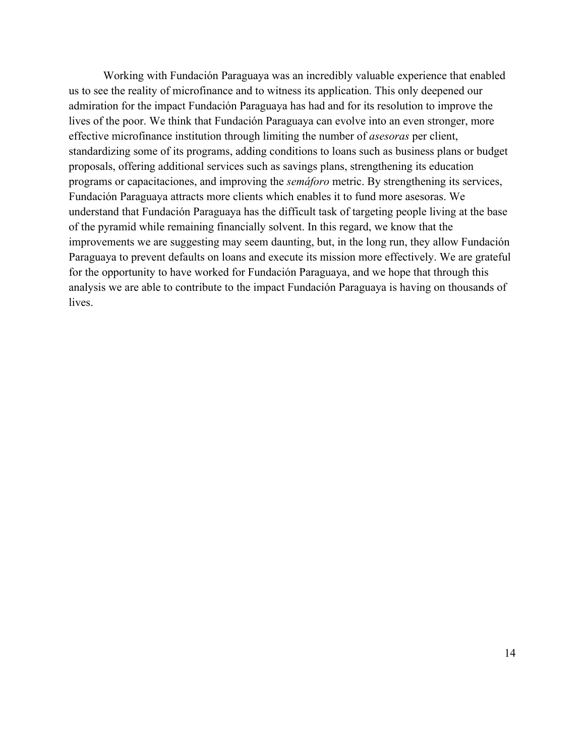Working with Fundación Paraguaya was an incredibly valuable experience that enabled us to see the reality of microfinance and to witness its application. This only deepened our admiration for the impact Fundación Paraguaya has had and for its resolution to improve the lives of the poor. We think that Fundación Paraguaya can evolve into an even stronger, more effective microfinance institution through limiting the number of *asesoras* per client, standardizing some of its programs, adding conditions to loans such as business plans or budget proposals, offering additional services such as savings plans, strengthening its education programs or capacitaciones, and improving the *semáforo* metric. By strengthening its services, Fundación Paraguaya attracts more clients which enables it to fund more asesoras. We understand that Fundación Paraguaya has the difficult task of targeting people living at the base of the pyramid while remaining financially solvent. In this regard, we know that the improvements we are suggesting may seem daunting, but, in the long run, they allow Fundación Paraguaya to prevent defaults on loans and execute its mission more effectively. We are grateful for the opportunity to have worked for Fundación Paraguaya, and we hope that through this analysis we are able to contribute to the impact Fundación Paraguaya is having on thousands of lives.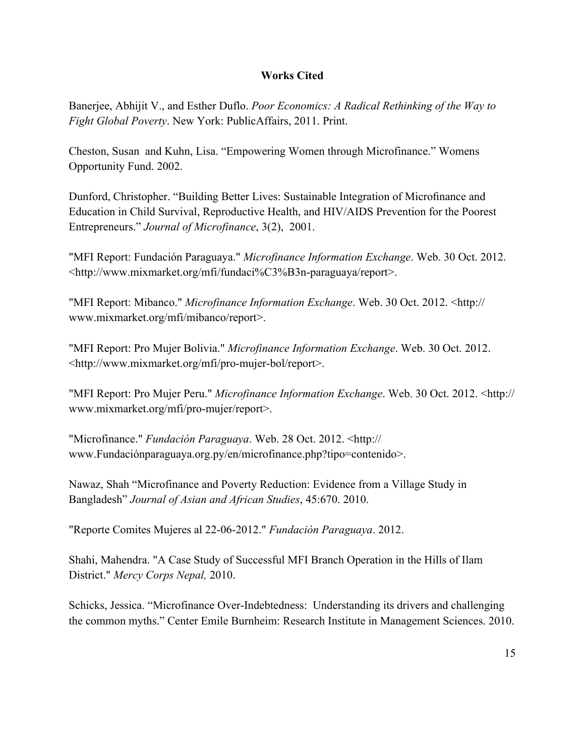## **Works Cited**

Baneriee, Abhijit V., and Esther Duflo. Poor Economics: A Radical Rethinking of the Way to Fight Global Poverty. New York: PublicAffairs, 2011. Print.

Cheston, Susan and Kuhn, Lisa. "Empowering Women through Microfinance." Womens Opportunity Fund. 2002.

Dunford, Christopher. "Building Better Lives: Sustainable Integration of Microfinance and Education in Child Survival, Reproductive Health, and HIV/AIDS Prevention for the Poorest Entrepreneurs." Journal of Microfinance, 3(2), 2001.

"MFI Report: Fundación Paraguaya." Microfinance Information Exchange. Web. 30 Oct. 2012. <http://www.mixmarket.org/mfi/fundaci%C3%B3n-paraguaya/report>.

"MFI Report: Mibanco." Microfinance Information Exchange. Web. 30 Oct. 2012. <http:// www.mixmarket.org/mfi/mibanco/report>.

"MFI Report: Pro Mujer Bolivia." Microfinance Information Exchange. Web. 30 Oct. 2012. <http://www.mixmarket.org/mfi/pro-mujer-bol/report>.

"MFI Report: Pro Mujer Peru." Microfinance Information Exchange. Web. 30 Oct. 2012. <http:// www.mixmarket.org/mfi/pro-mujer/report>.

"Microfinance." Fundación Paraguaya. Web. 28 Oct. 2012. <http:// www.Fundaciónparaguaya.org.py/en/microfinance.php?tipo=contenido>.

Nawaz, Shah "Microfinance and Poverty Reduction: Evidence from a Village Study in Bangladesh" Journal of Asian and African Studies, 45:670. 2010.

"Reporte Comites Mujeres al 22-06-2012." Fundación Paraguaya. 2012.

Shahi, Mahendra. "A Case Study of Successful MFI Branch Operation in the Hills of Ilam District." Mercy Corps Nepal, 2010.

Schicks, Jessica. "Microfinance Over-Indebtedness: Understanding its drivers and challenging the common myths." Center Emile Burnheim: Research Institute in Management Sciences. 2010.